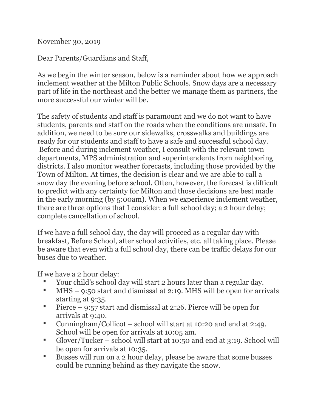November 30, 2019

Dear Parents/Guardians and Staff,

As we begin the winter season, below is a reminder about how we approach inclement weather at the Milton Public Schools. Snow days are a necessary part of life in the northeast and the better we manage them as partners, the more successful our winter will be.

The safety of students and staff is paramount and we do not want to have students, parents and staff on the roads when the conditions are unsafe. In addition, we need to be sure our sidewalks, crosswalks and buildings are ready for our students and staff to have a safe and successful school day. Before and during inclement weather, I consult with the relevant town departments, MPS administration and superintendents from neighboring districts. I also monitor weather forecasts, including those provided by the Town of Milton. At times, the decision is clear and we are able to call a snow day the evening before school. Often, however, the forecast is difficult to predict with any certainty for Milton and those decisions are best made in the early morning (by 5:00am). When we experience inclement weather, there are three options that I consider: a full school day; a 2 hour delay; complete cancellation of school.

If we have a full school day, the day will proceed as a regular day with breakfast, Before School, after school activities, etc. all taking place. Please be aware that even with a full school day, there can be traffic delays for our buses due to weather.

If we have a 2 hour delay:

- Your child's school day will start 2 hours later than a regular day.
- MHS 9:50 start and dismissal at 2:19. MHS will be open for arrivals starting at 9:35.
- Pierce 9:57 start and dismissal at 2:26. Pierce will be open for arrivals at 9:40.
- Cunningham/Collicot school will start at 10:20 and end at 2:49. School will be open for arrivals at 10:05 am.
- Glover/Tucker school will start at 10:50 and end at 3:19. School will be open for arrivals at 10:35.
- Busses will run on a 2 hour delay, please be aware that some busses could be running behind as they navigate the snow.